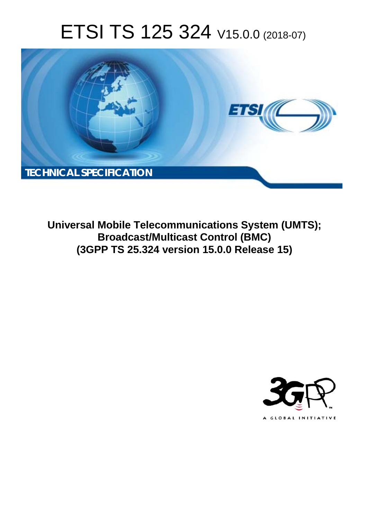# ETSI TS 125 324 V15.0.0 (2018-07)



**Universal Mobile Telecommunications System (UMTS); Broadcast/Multicast Control (BMC) (3GPP TS 25.324 version 15.0.0 Release 15)** 

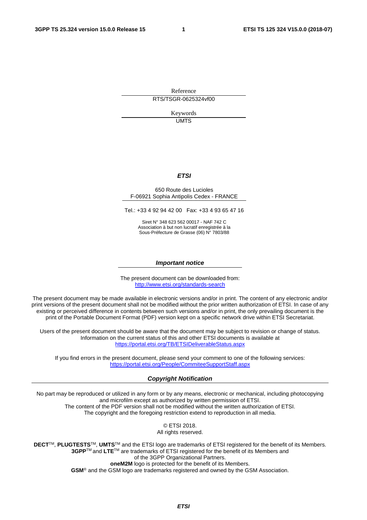Reference RTS/TSGR-0625324vf00

> Keywords UMTS

#### *ETSI*

#### 650 Route des Lucioles F-06921 Sophia Antipolis Cedex - FRANCE

Tel.: +33 4 92 94 42 00 Fax: +33 4 93 65 47 16

Siret N° 348 623 562 00017 - NAF 742 C Association à but non lucratif enregistrée à la Sous-Préfecture de Grasse (06) N° 7803/88

#### *Important notice*

The present document can be downloaded from: <http://www.etsi.org/standards-search>

The present document may be made available in electronic versions and/or in print. The content of any electronic and/or print versions of the present document shall not be modified without the prior written authorization of ETSI. In case of any existing or perceived difference in contents between such versions and/or in print, the only prevailing document is the print of the Portable Document Format (PDF) version kept on a specific network drive within ETSI Secretariat.

Users of the present document should be aware that the document may be subject to revision or change of status. Information on the current status of this and other ETSI documents is available at <https://portal.etsi.org/TB/ETSIDeliverableStatus.aspx>

If you find errors in the present document, please send your comment to one of the following services: <https://portal.etsi.org/People/CommiteeSupportStaff.aspx>

#### *Copyright Notification*

No part may be reproduced or utilized in any form or by any means, electronic or mechanical, including photocopying and microfilm except as authorized by written permission of ETSI. The content of the PDF version shall not be modified without the written authorization of ETSI. The copyright and the foregoing restriction extend to reproduction in all media.

> © ETSI 2018. All rights reserved.

**DECT**TM, **PLUGTESTS**TM, **UMTS**TM and the ETSI logo are trademarks of ETSI registered for the benefit of its Members. **3GPP**TM and **LTE**TM are trademarks of ETSI registered for the benefit of its Members and of the 3GPP Organizational Partners. **oneM2M** logo is protected for the benefit of its Members.

**GSM**® and the GSM logo are trademarks registered and owned by the GSM Association.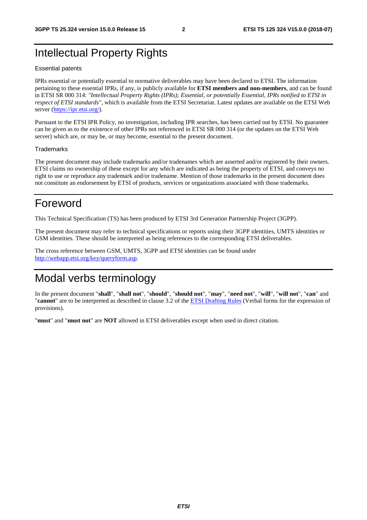# Intellectual Property Rights

#### Essential patents

IPRs essential or potentially essential to normative deliverables may have been declared to ETSI. The information pertaining to these essential IPRs, if any, is publicly available for **ETSI members and non-members**, and can be found in ETSI SR 000 314: *"Intellectual Property Rights (IPRs); Essential, or potentially Essential, IPRs notified to ETSI in respect of ETSI standards"*, which is available from the ETSI Secretariat. Latest updates are available on the ETSI Web server ([https://ipr.etsi.org/\)](https://ipr.etsi.org/).

Pursuant to the ETSI IPR Policy, no investigation, including IPR searches, has been carried out by ETSI. No guarantee can be given as to the existence of other IPRs not referenced in ETSI SR 000 314 (or the updates on the ETSI Web server) which are, or may be, or may become, essential to the present document.

#### **Trademarks**

The present document may include trademarks and/or tradenames which are asserted and/or registered by their owners. ETSI claims no ownership of these except for any which are indicated as being the property of ETSI, and conveys no right to use or reproduce any trademark and/or tradename. Mention of those trademarks in the present document does not constitute an endorsement by ETSI of products, services or organizations associated with those trademarks.

# Foreword

This Technical Specification (TS) has been produced by ETSI 3rd Generation Partnership Project (3GPP).

The present document may refer to technical specifications or reports using their 3GPP identities, UMTS identities or GSM identities. These should be interpreted as being references to the corresponding ETSI deliverables.

The cross reference between GSM, UMTS, 3GPP and ETSI identities can be found under [http://webapp.etsi.org/key/queryform.asp.](http://webapp.etsi.org/key/queryform.asp)

# Modal verbs terminology

In the present document "**shall**", "**shall not**", "**should**", "**should not**", "**may**", "**need not**", "**will**", "**will not**", "**can**" and "**cannot**" are to be interpreted as described in clause 3.2 of the [ETSI Drafting Rules](https://portal.etsi.org/Services/editHelp!/Howtostart/ETSIDraftingRules.aspx) (Verbal forms for the expression of provisions).

"**must**" and "**must not**" are **NOT** allowed in ETSI deliverables except when used in direct citation.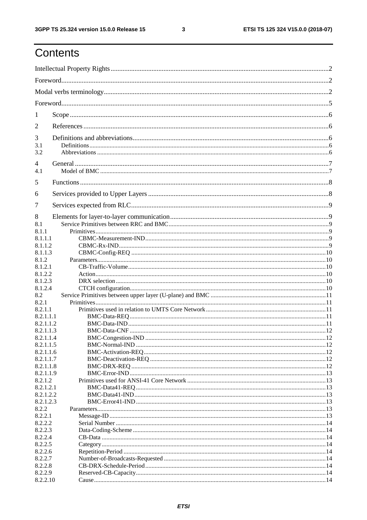ETSI TS 125 324 V15.0.0 (2018-07)

| 1              |  |
|----------------|--|
| 2              |  |
| 3              |  |
| 3.1<br>3.2     |  |
| $\overline{4}$ |  |
| 4.1            |  |
| 5              |  |
| 6              |  |
| 7              |  |
| 8              |  |
| 8.1            |  |
| 8.1.1          |  |
| 8.1.1.1        |  |
| 8.1.1.2        |  |
| 8.1.1.3        |  |
| 8.1.2          |  |
| 8.1.2.1        |  |
| 8.1.2.2        |  |
| 8.1.2.3        |  |
| 8.1.2.4        |  |
| 8.2            |  |
| 8.2.1          |  |
| 8.2.1.1        |  |
| 8.2.1.1.1      |  |
| 8.2.1.1.2      |  |
|                |  |
| 8.2.1.1.3      |  |
| 8.2.1.1.4      |  |
| 8.2.1.1.5      |  |
| 8.2.1.1.6      |  |
| 8.2.1.1.7      |  |
| 8.2.1.1.8      |  |
| 8.2.1.1.9      |  |
| 8.2.1.2        |  |
| 8.2.1.2.1      |  |
| 8.2.1.2.2      |  |
| 8.2.1.2.3      |  |
| 8.2.2          |  |
| 8.2.2.1        |  |
| 8.2.2.2        |  |
| 8.2.2.3        |  |
| 8.2.2.4        |  |
| 8.2.2.5        |  |
|                |  |
| 8.2.2.6        |  |
| 8.2.2.7        |  |
| 8.2.2.8        |  |
| 8.2.2.9        |  |
| 8.2.2.10       |  |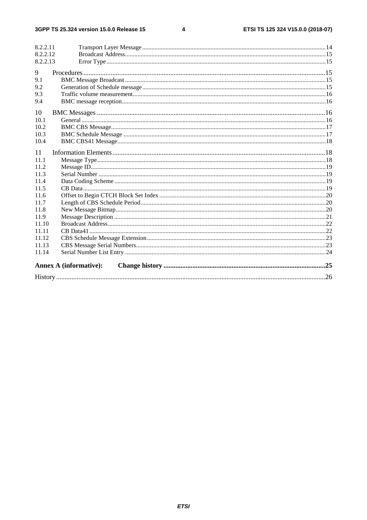#### $\overline{\mathbf{4}}$

| 8.2.2.11 |                               |  |
|----------|-------------------------------|--|
| 8.2.2.12 |                               |  |
| 8.2.2.13 |                               |  |
| 9        |                               |  |
| 9.1      |                               |  |
| 9.2      |                               |  |
| 9.3      |                               |  |
| 9.4      |                               |  |
|          |                               |  |
| 10       |                               |  |
| 10.1     |                               |  |
| 10.2     |                               |  |
| 10.3     |                               |  |
| 10.4     |                               |  |
| 11       |                               |  |
| 11.1     |                               |  |
| 11.2     |                               |  |
| 11.3     |                               |  |
| 11.4     |                               |  |
| 11.5     |                               |  |
| 11.6     |                               |  |
| 11.7     |                               |  |
| 11.8     |                               |  |
| 11.9     |                               |  |
| 11.10    |                               |  |
| 11.11    |                               |  |
| 11.12    |                               |  |
| 11.13    |                               |  |
| 11.14    |                               |  |
|          | <b>Annex A (informative):</b> |  |
|          |                               |  |
|          |                               |  |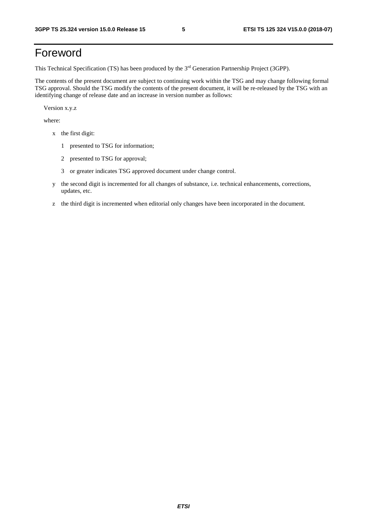# Foreword

This Technical Specification (TS) has been produced by the 3rd Generation Partnership Project (3GPP).

The contents of the present document are subject to continuing work within the TSG and may change following formal TSG approval. Should the TSG modify the contents of the present document, it will be re-released by the TSG with an identifying change of release date and an increase in version number as follows:

Version x.y.z

where:

- x the first digit:
	- 1 presented to TSG for information;
	- 2 presented to TSG for approval;
	- 3 or greater indicates TSG approved document under change control.
- y the second digit is incremented for all changes of substance, i.e. technical enhancements, corrections, updates, etc.
- z the third digit is incremented when editorial only changes have been incorporated in the document.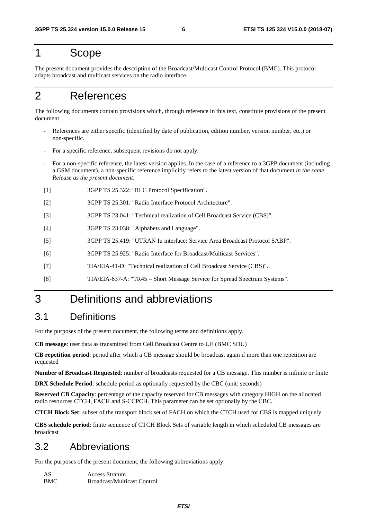# 1 Scope

The present document provides the description of the Broadcast/Multicast Control Protocol (BMC). This protocol adapts broadcast and multicast services on the radio interface.

# 2 References

The following documents contain provisions which, through reference in this text, constitute provisions of the present document.

- References are either specific (identified by date of publication, edition number, version number, etc.) or non-specific.
- For a specific reference, subsequent revisions do not apply.
- For a non-specific reference, the latest version applies. In the case of a reference to a 3GPP document (including a GSM document), a non-specific reference implicitly refers to the latest version of that document *in the same Release as the present document*.
- [1] 3GPP TS 25.322: "RLC Protocol Specification".
- [2] 3GPP TS 25.301: "Radio Interface Protocol Architecture".
- [3] 3GPP TS 23.041: "Technical realization of Cell Broadcast Service (CBS)".
- [4] 3GPP TS 23.038: "Alphabets and Language".
- [5] 3GPP TS 25.419: "UTRAN Iu interface: Service Area Broadcast Protocol SABP".
- [6] 3GPP TS 25.925: "Radio Interface for Broadcast/Multicast Services".
- [7] TIA/EIA-41-D: "Technical realization of Cell Broadcast Service (CBS)".
- [8] TIA/EIA-637-A: "TR45 Short Message Service for Spread Spectrum Systems".

# 3 Definitions and abbreviations

## 3.1 Definitions

For the purposes of the present document, the following terms and definitions apply.

**CB message**: user data as transmitted from Cell Broadcast Centre to UE (BMC SDU)

**CB repetition period**: period after which a CB message should be broadcast again if more than one repetition are requested

**Number of Broadcast Requested**: number of broadcasts requested for a CB message. This number is infinite or finite

**DRX Schedule Period**: schedule period as optionally requested by the CBC (unit: seconds)

**Reserved CB Capacity**: percentage of the capacity reserved for CB messages with category HIGH on the allocated radio resources CTCH, FACH and S-CCPCH. This parameter can be set optionally by the CBC.

**CTCH Block Set**: subset of the transport block set of FACH on which the CTCH used for CBS is mapped uniquely

**CBS schedule period**: finite sequence of CTCH Block Sets of variable length in which scheduled CB messages are broadcast

## 3.2 Abbreviations

For the purposes of the present document, the following abbreviations apply:

| AS  | <b>Access Stratum</b>              |
|-----|------------------------------------|
| BMC | <b>Broadcast/Multicast Control</b> |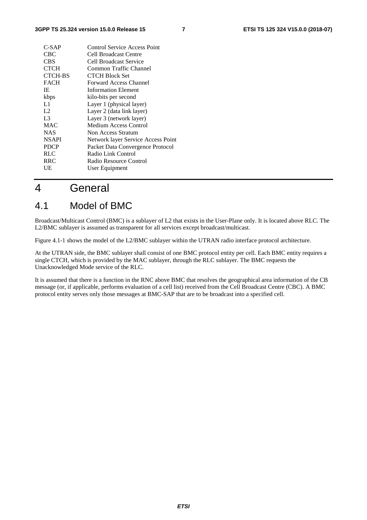| $C-SAP$        | Control Service Access Point       |
|----------------|------------------------------------|
| CBC.           | <b>Cell Broadcast Centre</b>       |
| CBS            | Cell Broadcast Service             |
| <b>CTCH</b>    | Common Traffic Channel             |
| <b>CTCH-BS</b> | <b>CTCH Block Set</b>              |
| <b>FACH</b>    | Forward Access Channel             |
| IE             | <b>Information Element</b>         |
| kbps           | kilo-bits per second               |
| L1             | Layer 1 (physical layer)           |
| L2             | Layer 2 (data link layer)          |
| L <sub>3</sub> | Layer 3 (network layer)            |
| <b>MAC</b>     | Medium Access Control              |
| <b>NAS</b>     | Non Access Stratum                 |
| <b>NSAPI</b>   | Network layer Service Access Point |
| <b>PDCP</b>    | Packet Data Convergence Protocol   |
| RLC            | Radio Link Control                 |
| <b>RRC</b>     | Radio Resource Control             |
| UE             | User Equipment                     |
|                |                                    |

# 4 General

# 4.1 Model of BMC

Broadcast/Multicast Control (BMC) is a sublayer of L2 that exists in the User-Plane only. It is located above RLC. The L2/BMC sublayer is assumed as transparent for all services except broadcast/multicast.

Figure 4.1-1 shows the model of the L2/BMC sublayer within the UTRAN radio interface protocol architecture.

At the UTRAN side, the BMC sublayer shall consist of one BMC protocol entity per cell. Each BMC entity requires a single CTCH, which is provided by the MAC sublayer, through the RLC sublayer. The BMC requests the Unacknowledged Mode service of the RLC.

It is assumed that there is a function in the RNC above BMC that resolves the geographical area information of the CB message (or, if applicable, performs evaluation of a cell list) received from the Cell Broadcast Centre (CBC). A BMC protocol entity serves only those messages at BMC-SAP that are to be broadcast into a specified cell.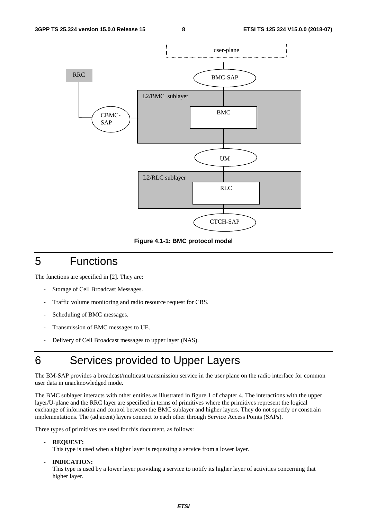

**Figure 4.1-1: BMC protocol model** 

# 5 Functions

The functions are specified in [2]. They are:

- Storage of Cell Broadcast Messages.
- Traffic volume monitoring and radio resource request for CBS.
- Scheduling of BMC messages.
- Transmission of BMC messages to UE.
- Delivery of Cell Broadcast messages to upper layer (NAS).

# 6 Services provided to Upper Layers

The BM-SAP provides a broadcast/multicast transmission service in the user plane on the radio interface for common user data in unacknowledged mode.

The BMC sublayer interacts with other entities as illustrated in figure 1 of chapter 4. The interactions with the upper layer/U-plane and the RRC layer are specified in terms of primitives where the primitives represent the logical exchange of information and control between the BMC sublayer and higher layers. They do not specify or constrain implementations. The (adjacent) layers connect to each other through Service Access Points (SAPs).

Three types of primitives are used for this document, as follows:

**- REQUEST:** 

This type is used when a higher layer is requesting a service from a lower layer.

**- INDICATION:** 

This type is used by a lower layer providing a service to notify its higher layer of activities concerning that higher layer.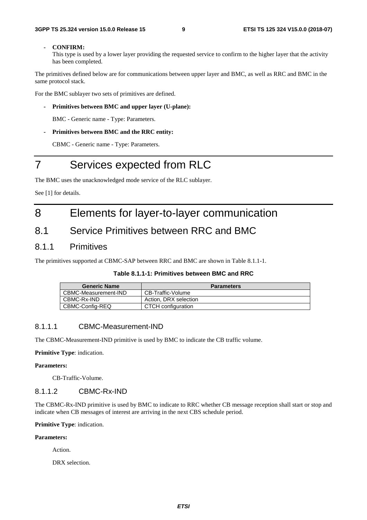#### **- CONFIRM:**

This type is used by a lower layer providing the requested service to confirm to the higher layer that the activity has been completed.

The primitives defined below are for communications between upper layer and BMC, as well as RRC and BMC in the same protocol stack.

For the BMC sublayer two sets of primitives are defined.

**- Primitives between BMC and upper layer (U-plane):** 

BMC - Generic name - Type: Parameters.

**- Primitives between BMC and the RRC entity:** 

CBMC - Generic name - Type: Parameters.

# 7 Services expected from RLC

The BMC uses the unacknowledged mode service of the RLC sublayer.

See [1] for details.

# 8 Elements for layer-to-layer communication

## 8.1 Service Primitives between RRC and BMC

## 8.1.1 Primitives

The primitives supported at CBMC-SAP between RRC and BMC are shown in Table 8.1.1-1.

#### **Table 8.1.1-1: Primitives between BMC and RRC**

| <b>Generic Name</b>  | <b>Parameters</b>     |
|----------------------|-----------------------|
| CBMC-Measurement-IND | CB-Traffic-Volume     |
| CBMC-Rx-IND          | Action, DRX selection |
| CBMC-Config-REQ      | CTCH configuration    |

#### 8.1.1.1 CBMC-Measurement-IND

The CBMC-Measurement-IND primitive is used by BMC to indicate the CB traffic volume.

**Primitive Type**: indication.

#### **Parameters:**

CB-Traffic-Volume.

## 8.1.1.2 CBMC-Rx-IND

The CBMC-Rx-IND primitive is used by BMC to indicate to RRC whether CB message reception shall start or stop and indicate when CB messages of interest are arriving in the next CBS schedule period.

**Primitive Type**: indication.

#### **Parameters:**

Action.

DRX selection.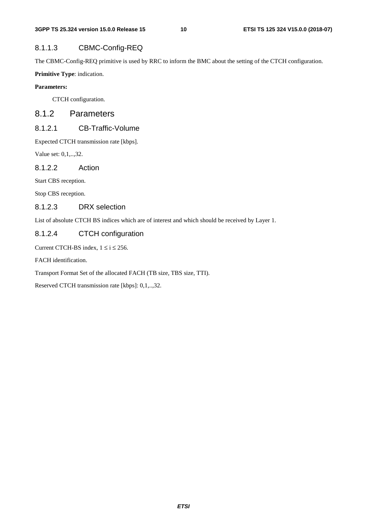## 8.1.1.3 CBMC-Config-REQ

The CBMC-Config-REQ primitive is used by RRC to inform the BMC about the setting of the CTCH configuration.

**Primitive Type**: indication.

## **Parameters:**

CTCH configuration.

## 8.1.2 Parameters

## 8.1.2.1 CB-Traffic-Volume

Expected CTCH transmission rate [kbps].

Value set: 0,1,..,32.

8.1.2.2 Action

Start CBS reception.

Stop CBS reception.

## 8.1.2.3 DRX selection

List of absolute CTCH BS indices which are of interest and which should be received by Layer 1.

## 8.1.2.4 CTCH configuration

Current CTCH-BS index,  $1 \le i \le 256$ .

FACH identification.

Transport Format Set of the allocated FACH (TB size, TBS size, TTI).

Reserved CTCH transmission rate [kbps]: 0,1,..,32.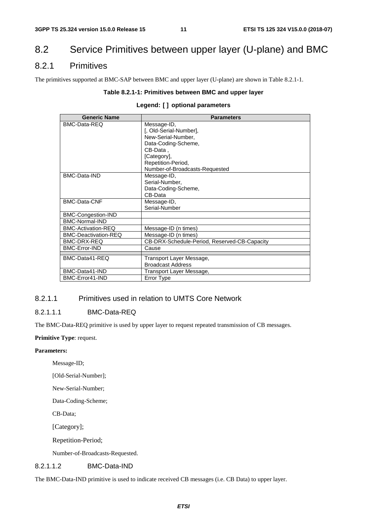# 8.2 Service Primitives between upper layer (U-plane) and BMC

## 8.2.1 Primitives

The primitives supported at BMC-SAP between BMC and upper layer (U-plane) are shown in Table 8.2.1-1.

#### **Table 8.2.1-1: Primitives between BMC and upper layer**

## **Legend: [ ] optional parameters**

| <b>Generic Name</b>         | <b>Parameters</b>                            |
|-----------------------------|----------------------------------------------|
| BMC-Data-REQ                | Message-ID,                                  |
|                             | [, Old-Serial-Number],                       |
|                             | New-Serial-Number.                           |
|                             | Data-Coding-Scheme,                          |
|                             | CB-Data.                                     |
|                             | [Category],                                  |
|                             | Repetition-Period,                           |
|                             | Number-of-Broadcasts-Requested               |
| BMC-Data-IND                | Message-ID,                                  |
|                             | Serial-Number,                               |
|                             | Data-Coding-Scheme,                          |
|                             | CB-Data                                      |
| BMC-Data-CNF                | Message-ID,                                  |
|                             | Serial-Number                                |
| BMC-Congestion-IND          |                                              |
| BMC-Normal-IND              |                                              |
| BMC-Activation-REQ          | Message-ID (n times)                         |
| <b>BMC-Deactivation-REQ</b> | Message-ID (n times)                         |
| BMC-DRX-REQ                 | CB-DRX-Schedule-Period, Reserved-CB-Capacity |
| <b>BMC-Error-IND</b>        | Cause                                        |
| BMC-Data41-REQ              | Transport Layer Message,                     |
|                             | <b>Broadcast Address</b>                     |
| BMC-Data41-IND              | Transport Layer Message,                     |
| BMC-Error41-IND             | Error Type                                   |
|                             |                                              |

## 8.2.1.1 Primitives used in relation to UMTS Core Network

## 8.2.1.1.1 BMC-Data-REQ

The BMC-Data-REQ primitive is used by upper layer to request repeated transmission of CB messages.

#### **Primitive Type**: request.

#### **Parameters:**

Message-ID;

[Old-Serial-Number];

New-Serial-Number;

Data-Coding-Scheme;

CB-Data;

[Category];

Repetition-Period;

Number-of-Broadcasts-Requested.

## 8.2.1.1.2 BMC-Data-IND

The BMC-Data-IND primitive is used to indicate received CB messages (i.e. CB Data) to upper layer.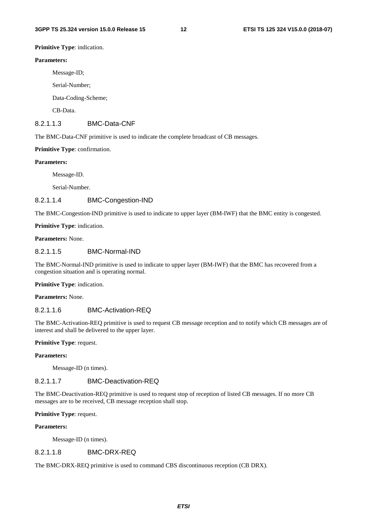**Primitive Type**: indication.

#### **Parameters:**

Message-ID;

Serial-Number;

Data-Coding-Scheme;

CB-Data.

#### 8.2.1.1.3 BMC-Data-CNF

The BMC-Data-CNF primitive is used to indicate the complete broadcast of CB messages.

#### **Primitive Type**: confirmation.

#### **Parameters:**

Message-ID.

Serial-Number.

## 8.2.1.1.4 BMC-Congestion-IND

The BMC-Congestion-IND primitive is used to indicate to upper layer (BM-IWF) that the BMC entity is congested.

**Primitive Type**: indication.

**Parameters:** None.

#### 8.2.1.1.5 BMC-Normal-IND

The BMC-Normal-IND primitive is used to indicate to upper layer (BM-IWF) that the BMC has recovered from a congestion situation and is operating normal.

**Primitive Type**: indication.

**Parameters:** None.

## 8.2.1.1.6 BMC-Activation-REQ

The BMC-Activation-REQ primitive is used to request CB message reception and to notify which CB messages are of interest and shall be delivered to the upper layer.

#### **Primitive Type**: request.

#### **Parameters:**

Message-ID (n times).

## 8.2.1.1.7 BMC-Deactivation-REQ

The BMC-Deactivation-REQ primitive is used to request stop of reception of listed CB messages. If no more CB messages are to be received, CB message reception shall stop.

#### **Primitive Type**: request.

#### **Parameters:**

Message-ID (n times).

#### 8.2.1.1.8 BMC-DRX-REQ

The BMC-DRX-REQ primitive is used to command CBS discontinuous reception (CB DRX).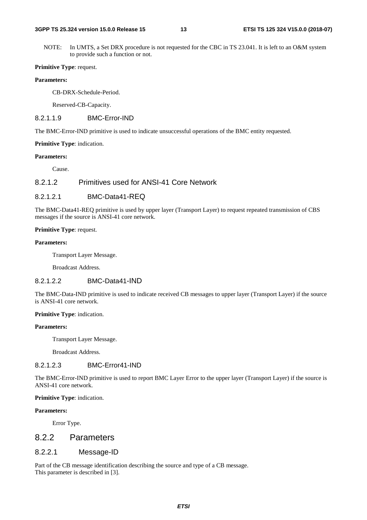NOTE: In UMTS, a Set DRX procedure is not requested for the CBC in TS 23.041. It is left to an O&M system to provide such a function or not.

#### **Primitive Type**: request.

#### **Parameters:**

CB-DRX-Schedule-Period.

Reserved-CB-Capacity.

#### 8.2.1.1.9 BMC-Error-IND

The BMC-Error-IND primitive is used to indicate unsuccessful operations of the BMC entity requested.

#### **Primitive Type**: indication.

#### **Parameters:**

Cause.

## 8.2.1.2 Primitives used for ANSI-41 Core Network

#### 8.2.1.2.1 BMC-Data41-REQ

The BMC-Data41-REQ primitive is used by upper layer (Transport Layer) to request repeated transmission of CBS messages if the source is ANSI-41 core network.

#### **Primitive Type: request.**

#### **Parameters:**

Transport Layer Message.

Broadcast Address.

## 8.2.1.2.2 BMC-Data41-IND

The BMC-Data-IND primitive is used to indicate received CB messages to upper layer (Transport Layer) if the source is ANSI-41 core network.

#### **Primitive Type**: indication.

#### **Parameters:**

Transport Layer Message.

Broadcast Address.

## 8.2.1.2.3 BMC-Error41-IND

The BMC-Error-IND primitive is used to report BMC Layer Error to the upper layer (Transport Layer) if the source is ANSI-41 core network.

#### **Primitive Type**: indication.

#### **Parameters:**

Error Type.

## 8.2.2 Parameters

#### 8.2.2.1 Message-ID

Part of the CB message identification describing the source and type of a CB message. This parameter is described in [3].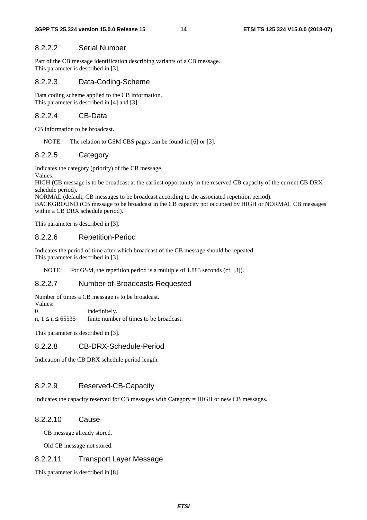## 8.2.2.2 Serial Number

Part of the CB message identification describing variants of a CB message. This parameter is described in [3].

#### 8.2.2.3 Data-Coding-Scheme

Data coding scheme applied to the CB information. This parameter is described in [4] and [3].

## 8.2.2.4 CB-Data

CB information to be broadcast.

NOTE: The relation to GSM CBS pages can be found in [6] or [3].

#### 8.2.2.5 Category

Indicates the category (priority) of the CB message.

Values:

HIGH (CB message is to be broadcast at the earliest opportunity in the reserved CB capacity of the current CB DRX schedule period).

NORMAL (default, CB messages to be broadcast according to the associated repetition period).

BACKGROUND (CB message to be broadcast in the CB capacity not occupied by HIGH or NORMAL CB messages within a CB DRX schedule period).

This parameter is described in [3].

#### 8.2.2.6 Repetition-Period

Indicates the period of time after which broadcast of the CB message should be repeated. This parameter is described in [3].

NOTE: For GSM, the repetition period is a multiple of 1.883 seconds (cf. [3]).

## 8.2.2.7 Number-of-Broadcasts-Requested

Number of times a CB message is to be broadcast.

Values:<br>0 indefinitely.

n,  $1 \le n \le 65535$  finite number of times to be broadcast.

This parameter is described in [3].

#### 8.2.2.8 CB-DRX-Schedule-Period

Indication of the CB DRX schedule period length.

#### 8.2.2.9 Reserved-CB-Capacity

Indicates the capacity reserved for CB messages with Category = HIGH or new CB messages.

#### 8.2.2.10 Cause

CB message already stored.

Old CB message not stored.

## 8.2.2.11 Transport Layer Message

This parameter is described in [8].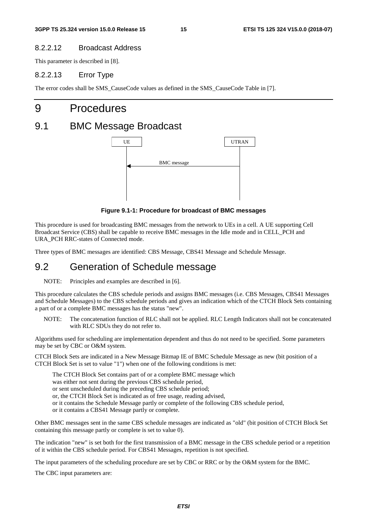## 8.2.2.12 Broadcast Address

This parameter is described in [8].

## 8.2.2.13 Error Type

The error codes shall be SMS\_CauseCode values as defined in the SMS\_CauseCode Table in [7].

# 9 Procedures

# 9.1 BMC Message Broadcast



**Figure 9.1-1: Procedure for broadcast of BMC messages** 

This procedure is used for broadcasting BMC messages from the network to UEs in a cell. A UE supporting Cell Broadcast Service (CBS) shall be capable to receive BMC messages in the Idle mode and in CELL\_PCH and URA\_PCH RRC-states of Connected mode.

Three types of BMC messages are identified: CBS Message, CBS41 Message and Schedule Message.

## 9.2 Generation of Schedule message

NOTE: Principles and examples are described in [6].

This procedure calculates the CBS schedule periods and assigns BMC messages (i.e. CBS Messages, CBS41 Messages and Schedule Messages) to the CBS schedule periods and gives an indication which of the CTCH Block Sets containing a part of or a complete BMC messages has the status "new".

NOTE: The concatenation function of RLC shall not be applied. RLC Length Indicators shall not be concatenated with RLC SDUs they do not refer to.

Algorithms used for scheduling are implementation dependent and thus do not need to be specified. Some parameters may be set by CBC or O&M system.

CTCH Block Sets are indicated in a New Message Bitmap IE of BMC Schedule Message as new (bit position of a CTCH Block Set is set to value "1") when one of the following conditions is met:

The CTCH Block Set contains part of or a complete BMC message which

was either not sent during the previous CBS schedule period,

or sent unscheduled during the preceding CBS schedule period;

or, the CTCH Block Set is indicated as of free usage, reading advised,

or it contains the Schedule Message partly or complete of the following CBS schedule period,

or it contains a CBS41 Message partly or complete.

Other BMC messages sent in the same CBS schedule messages are indicated as "old" (bit position of CTCH Block Set containing this message partly or complete is set to value 0).

The indication "new" is set both for the first transmission of a BMC message in the CBS schedule period or a repetition of it within the CBS schedule period. For CBS41 Messages, repetition is not specified.

The input parameters of the scheduling procedure are set by CBC or RRC or by the O&M system for the BMC.

The CBC input parameters are: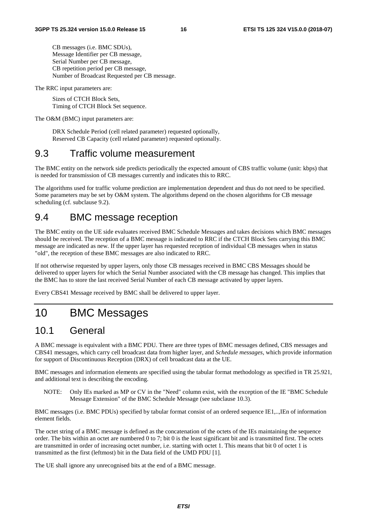CB messages (i.e. BMC SDUs), Message Identifier per CB message, Serial Number per CB message, CB repetition period per CB message, Number of Broadcast Requested per CB message.

The RRC input parameters are:

 Sizes of CTCH Block Sets, Timing of CTCH Block Set sequence.

The O&M (BMC) input parameters are:

 DRX Schedule Period (cell related parameter) requested optionally, Reserved CB Capacity (cell related parameter) requested optionally.

## 9.3 Traffic volume measurement

The BMC entity on the network side predicts periodically the expected amount of CBS traffic volume (unit: kbps) that is needed for transmission of CB messages currently and indicates this to RRC.

The algorithms used for traffic volume prediction are implementation dependent and thus do not need to be specified. Some parameters may be set by O&M system. The algorithms depend on the chosen algorithms for CB message scheduling (cf. subclause 9.2).

# 9.4 BMC message reception

The BMC entity on the UE side evaluates received BMC Schedule Messages and takes decisions which BMC messages should be received. The reception of a BMC message is indicated to RRC if the CTCH Block Sets carrying this BMC message are indicated as new. If the upper layer has requested reception of individual CB messages when in status "old", the reception of these BMC messages are also indicated to RRC.

If not otherwise requested by upper layers, only those CB messages received in BMC CBS Messages should be delivered to upper layers for which the Serial Number associated with the CB message has changed. This implies that the BMC has to store the last received Serial Number of each CB message activated by upper layers.

Every CBS41 Message received by BMC shall be delivered to upper layer.

# 10 BMC Messages

## 10.1 General

A BMC message is equivalent with a BMC PDU. There are three types of BMC messages defined, CBS messages and CBS41 messages, which carry cell broadcast data from higher layer, and *Schedule messages*, which provide information for support of Discontinuous Reception (DRX) of cell broadcast data at the UE.

BMC messages and information elements are specified using the tabular format methodology as specified in TR 25.921, and additional text is describing the encoding.

NOTE: Only IEs marked as MP or CV in the "Need" column exist, with the exception of the IE "BMC Schedule Message Extension" of the BMC Schedule Message (see subclause 10.3).

BMC messages (i.e. BMC PDUs) specified by tabular format consist of an ordered sequence IE1,..,IEn of information element fields.

The octet string of a BMC message is defined as the concatenation of the octets of the IEs maintaining the sequence order. The bits within an octet are numbered 0 to 7; bit 0 is the least significant bit and is transmitted first. The octets are transmitted in order of increasing octet number, i.e. starting with octet 1. This means that bit 0 of octet 1 is transmitted as the first (leftmost) bit in the Data field of the UMD PDU [1].

The UE shall ignore any unrecognised bits at the end of a BMC message.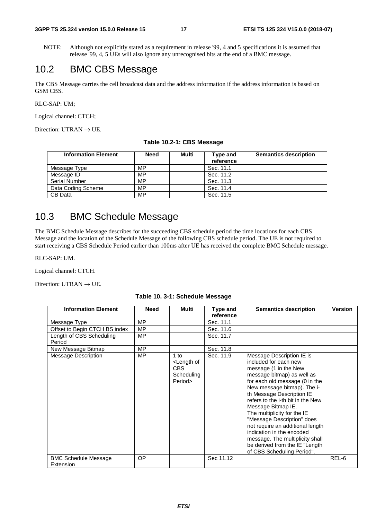NOTE: Although not explicitly stated as a requirement in release '99, 4 and 5 specifications it is assumed that release '99, 4, 5 UEs will also ignore any unrecognised bits at the end of a BMC message.

## 10.2 BMC CBS Message

The CBS Message carries the cell broadcast data and the address information if the address information is based on GSM CBS.

RLC-SAP: UM;

Logical channel: CTCH;

Direction: UTRAN  $\rightarrow$  UE.

| <b>Information Element</b> | <b>Need</b> | Multi | Type and<br>reference | <b>Semantics description</b> |
|----------------------------|-------------|-------|-----------------------|------------------------------|
| Message Type               | MP          |       | Sec. 11.1             |                              |
| Message ID                 | MP          |       | Sec. 11.2             |                              |

Sec. 11.5

**Table 10.2-1: CBS Message** 

# 10.3 BMC Schedule Message

Data Coding Scheme MP<br>
CB Data MP

Serial Number MP Sec. 11.3<br>
Data Coding Scheme MP Sec. 11.4

The BMC Schedule Message describes for the succeeding CBS schedule period the time locations for each CBS Message and the location of the Schedule Message of the following CBS schedule period. The UE is not required to start receiving a CBS Schedule Period earlier than 100ms after UE has received the complete BMC Schedule message.

RLC-SAP: UM.

Logical channel: CTCH.

Direction: UTRAN  $\rightarrow$  UE.

|  |  | Table 10. 3-1: Schedule Message |  |
|--|--|---------------------------------|--|
|--|--|---------------------------------|--|

| <b>Information Element</b>               | <b>Need</b> | <b>Multi</b>                                                          | Type and  | <b>Semantics description</b>                                                                                                                                                                                                                                                                                                                                                                                                                                                                        | <b>Version</b> |
|------------------------------------------|-------------|-----------------------------------------------------------------------|-----------|-----------------------------------------------------------------------------------------------------------------------------------------------------------------------------------------------------------------------------------------------------------------------------------------------------------------------------------------------------------------------------------------------------------------------------------------------------------------------------------------------------|----------------|
|                                          |             |                                                                       | reference |                                                                                                                                                                                                                                                                                                                                                                                                                                                                                                     |                |
| Message Type                             | <b>MP</b>   |                                                                       | Sec. 11.1 |                                                                                                                                                                                                                                                                                                                                                                                                                                                                                                     |                |
| Offset to Begin CTCH BS index            | MP          |                                                                       | Sec. 11.6 |                                                                                                                                                                                                                                                                                                                                                                                                                                                                                                     |                |
| Length of CBS Scheduling                 | <b>MP</b>   |                                                                       | Sec. 11.7 |                                                                                                                                                                                                                                                                                                                                                                                                                                                                                                     |                |
| Period                                   |             |                                                                       |           |                                                                                                                                                                                                                                                                                                                                                                                                                                                                                                     |                |
| New Message Bitmap                       | <b>MP</b>   |                                                                       | Sec. 11.8 |                                                                                                                                                                                                                                                                                                                                                                                                                                                                                                     |                |
| <b>Message Description</b>               | <b>MP</b>   | $1$ to<br><length of<br="">CBS<br/>Scheduling<br/>Period&gt;</length> | Sec. 11.9 | Message Description IE is<br>included for each new<br>message (1 in the New<br>message bitmap) as well as<br>for each old message (0 in the<br>New message bitmap). The i-<br>th Message Description IE<br>refers to the i-th bit in the New<br>Message Bitmap IE.<br>The multiplicity for the IE<br>"Message Description" does<br>not require an additional length<br>indication in the encoded<br>message. The multiplicity shall<br>be derived from the IE "Length<br>of CBS Scheduling Period". |                |
| <b>BMC Schedule Message</b><br>Extension | <b>OP</b>   |                                                                       | Sec 11.12 |                                                                                                                                                                                                                                                                                                                                                                                                                                                                                                     | REL-6          |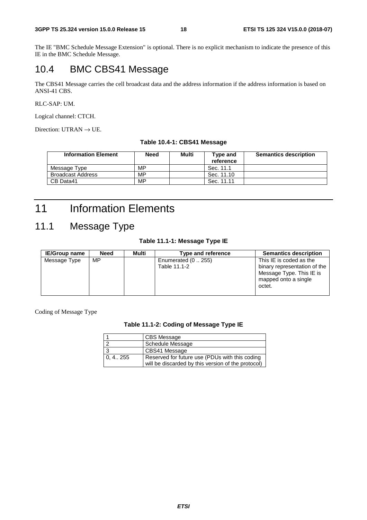The IE "BMC Schedule Message Extension" is optional. There is no explicit mechanism to indicate the presence of this IE in the BMC Schedule Message.

# 10.4 BMC CBS41 Message

The CBS41 Message carries the cell broadcast data and the address information if the address information is based on ANSI-41 CBS.

#### RLC-SAP: UM.

Logical channel: CTCH.

Direction: UTRAN  $\rightarrow$  UE.

#### **Table 10.4-1: CBS41 Message**

| <b>Information Element</b> | <b>Need</b> | Multi | Type and<br>reference | <b>Semantics description</b> |
|----------------------------|-------------|-------|-----------------------|------------------------------|
| Message Type               | МP          |       | Sec. 11.1             |                              |
| <b>Broadcast Address</b>   | МP          |       | Sec. 11.10            |                              |
| CB Data41                  | МP          |       | Sec. 11.11            |                              |

# 11 Information Elements

# 11.1 Message Type

## **Table 11.1-1: Message Type IE**

| <b>IE/Group name</b> | Need | Multi | Type and reference                  | <b>Semantics description</b>                                                                                          |
|----------------------|------|-------|-------------------------------------|-----------------------------------------------------------------------------------------------------------------------|
| Message Type         | MP   |       | Enumerated $(0255)$<br>Table 11.1-2 | This IE is coded as the<br>binary representation of the<br>Message Type. This IE is<br>mapped onto a single<br>octet. |

Coding of Message Type

#### **Table 11.1-2: Coding of Message Type IE**

|           | CBS Message                                                                                          |
|-----------|------------------------------------------------------------------------------------------------------|
| $\sim$    | Schedule Message                                                                                     |
| 2         | CBS41 Message                                                                                        |
| 0, 4, 255 | Reserved for future use (PDUs with this coding<br>will be discarded by this version of the protocol) |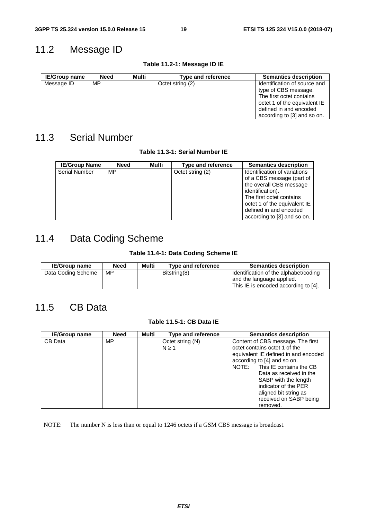# 11.2 Message ID

| <b>IE/Group name</b> | Need | Multi | <b>Type and reference</b> | <b>Semantics description</b> |
|----------------------|------|-------|---------------------------|------------------------------|
| Message ID           | MP   |       | Octet string (2)          | Identification of source and |
|                      |      |       |                           | type of CBS message.         |
|                      |      |       |                           | The first octet contains     |
|                      |      |       |                           | octet 1 of the equivalent IE |
|                      |      |       |                           | defined in and encoded       |
|                      |      |       |                           | according to [3] and so on.  |

#### **Table 11.2-1: Message ID IE**

# 11.3 Serial Number

**Table 11.3-1: Serial Number IE** 

| <b>IE/Group Name</b> | <b>Need</b> | Multi | Type and reference | <b>Semantics description</b>                                                                                                                                                                                                  |
|----------------------|-------------|-------|--------------------|-------------------------------------------------------------------------------------------------------------------------------------------------------------------------------------------------------------------------------|
| <b>Serial Number</b> | MP          |       | Octet string (2)   | Identification of variations<br>of a CBS message (part of<br>the overall CBS message<br>identification).<br>The first octet contains<br>octet 1 of the equivalent IE<br>defined in and encoded<br>according to [3] and so on. |

# 11.4 Data Coding Scheme

## **Table 11.4-1: Data Coding Scheme IE**

| <b>IE/Group name</b> | Need | Multi | Type and reference | <b>Semantics description</b>                                       |
|----------------------|------|-------|--------------------|--------------------------------------------------------------------|
| Data Coding Scheme   | МP   |       | Bitstring(8)       | Identification of the alphabet/coding<br>and the language applied. |
|                      |      |       |                    | This IE is encoded according to [4].                               |

# 11.5 CB Data

## **Table 11.5-1: CB Data IE**

| <b>IE/Group name</b> | <b>Need</b> | Multi | Type and reference | <b>Semantics description</b>         |
|----------------------|-------------|-------|--------------------|--------------------------------------|
| CB Data              | MP.         |       | Octet string (N)   | Content of CBS message. The first    |
|                      |             |       | $N \geq 1$         | octet contains octet 1 of the        |
|                      |             |       |                    | equivalent IE defined in and encoded |
|                      |             |       |                    | according to [4] and so on.          |
|                      |             |       |                    | This IE contains the CB<br>NOTE:     |
|                      |             |       |                    | Data as received in the              |
|                      |             |       |                    | SABP with the length                 |
|                      |             |       |                    | indicator of the PER                 |
|                      |             |       |                    | aligned bit string as                |
|                      |             |       |                    | received on SABP being               |
|                      |             |       |                    | removed.                             |

NOTE: The number N is less than or equal to 1246 octets if a GSM CBS message is broadcast.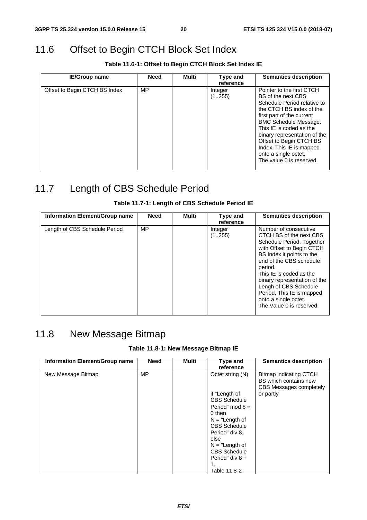# 11.6 Offset to Begin CTCH Block Set Index

**Table 11.6-1: Offset to Begin CTCH Block Set Index IE** 

| <b>IE/Group name</b>          | Need | Multi | Type and<br>reference | <b>Semantics description</b>                                                                                                                                                                                                                                                                                                                  |
|-------------------------------|------|-------|-----------------------|-----------------------------------------------------------------------------------------------------------------------------------------------------------------------------------------------------------------------------------------------------------------------------------------------------------------------------------------------|
| Offset to Begin CTCH BS Index | MP   |       | Integer<br>(1255)     | Pointer to the first CTCH<br>BS of the next CBS<br>Schedule Period relative to<br>the CTCH BS index of the<br>first part of the current<br><b>BMC Schedule Message.</b><br>This IE is coded as the<br>binary representation of the<br>Offset to Begin CTCH BS<br>Index. This IE is mapped<br>onto a single octet.<br>The value 0 is reserved. |

# 11.7 Length of CBS Schedule Period

## **Table 11.7-1: Length of CBS Schedule Period IE**

| Information Element/Group name | <b>Need</b> | Multi | Type and<br>reference | <b>Semantics description</b>                                                                                                                                                                                                                                                                                                                       |
|--------------------------------|-------------|-------|-----------------------|----------------------------------------------------------------------------------------------------------------------------------------------------------------------------------------------------------------------------------------------------------------------------------------------------------------------------------------------------|
| Length of CBS Schedule Period  | MP          |       | Integer<br>(1255)     | Number of consecutive<br>CTCH BS of the next CBS<br>Schedule Period. Together<br>with Offset to Begin CTCH<br>BS Index it points to the<br>end of the CBS schedule<br>period.<br>This IE is coded as the<br>binary representation of the<br>Lengh of CBS Schedule<br>Period. This IE is mapped<br>onto a single octet.<br>The Value 0 is reserved. |

# 11.8 New Message Bitmap

## **Table 11.8-1: New Message Bitmap IE**

| Information Element/Group name | <b>Need</b> | <b>Multi</b> | Type and<br>reference | <b>Semantics description</b>                                               |
|--------------------------------|-------------|--------------|-----------------------|----------------------------------------------------------------------------|
| New Message Bitmap             | MP          |              | Octet string (N)      | Bitmap indicating CTCH<br>BS which contains new<br>CBS Messages completely |
|                                |             |              | if "Length of         | or partly                                                                  |
|                                |             |              | <b>CBS Schedule</b>   |                                                                            |
|                                |             |              | Period" mod $8 =$     |                                                                            |
|                                |             |              | 0 then                |                                                                            |
|                                |             |              | $N = "Length of$      |                                                                            |
|                                |             |              | <b>CBS Schedule</b>   |                                                                            |
|                                |             |              | Period" div 8,        |                                                                            |
|                                |             |              | else                  |                                                                            |
|                                |             |              | $N = "Length of$      |                                                                            |
|                                |             |              | <b>CBS Schedule</b>   |                                                                            |
|                                |             |              | Period" div 8 +       |                                                                            |
|                                |             |              |                       |                                                                            |
|                                |             |              | Table 11.8-2          |                                                                            |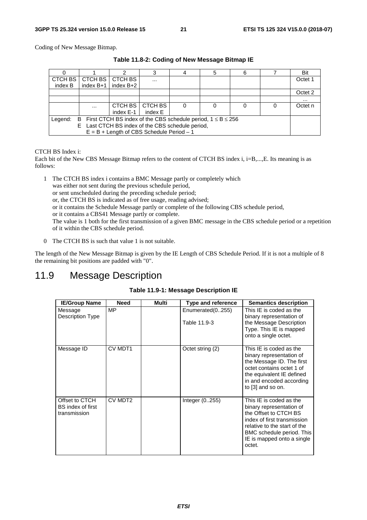Coding of New Message Bitmap.

|                                                                                |             |                                             |          |  |  |  |  | Bit      |
|--------------------------------------------------------------------------------|-------------|---------------------------------------------|----------|--|--|--|--|----------|
| CTCH BS                                                                        | CTCH BS     | CTCH BS                                     | $\cdots$ |  |  |  |  | Octet 1  |
| index B                                                                        | index $B+1$ | index $B+2$                                 |          |  |  |  |  |          |
|                                                                                |             |                                             |          |  |  |  |  | Octet 2  |
|                                                                                |             |                                             |          |  |  |  |  | $\cdots$ |
|                                                                                | $\cdots$    | CTCH BS                                     | CTCH BS  |  |  |  |  | Octet n  |
|                                                                                |             | index E-1                                   | index E  |  |  |  |  |          |
| B First CTCH BS index of the CBS schedule period, $1 \le B \le 256$<br>Legend: |             |                                             |          |  |  |  |  |          |
| Last CTCH BS index of the CBS schedule period,<br>E.                           |             |                                             |          |  |  |  |  |          |
|                                                                                |             | $E = B + Length$ of CBS Schedule Period - 1 |          |  |  |  |  |          |

**Table 11.8-2: Coding of New Message Bitmap IE** 

#### CTCH BS Index i:

Each bit of the New CBS Message Bitmap refers to the content of CTCH BS index i, i=B,...,E. Its meaning is as follows:

1 The CTCH BS index i contains a BMC Message partly or completely which was either not sent during the previous schedule period, or sent unscheduled during the preceding schedule period; or, the CTCH BS is indicated as of free usage, reading advised; or it contains the Schedule Message partly or complete of the following CBS schedule period, or it contains a CBS41 Message partly or complete. The value is 1 both for the first transmission of a given BMC message in the CBS schedule period or a repetition of it within the CBS schedule period.

0 The CTCH BS is such that value 1 is not suitable.

The length of the New Message Bitmap is given by the IE Length of CBS Schedule Period. If it is not a multiple of 8 the remaining bit positions are padded with "0".

# 11.9 Message Description

## **Table 11.9-1: Message Description IE**

| <b>IE/Group Name</b>                                | <b>Need</b> | Multi | <b>Type and reference</b>        | <b>Semantics description</b>                                                                                                                                                                                     |
|-----------------------------------------------------|-------------|-------|----------------------------------|------------------------------------------------------------------------------------------------------------------------------------------------------------------------------------------------------------------|
| Message<br>Description Type                         | <b>MP</b>   |       | Enumerated(0255)<br>Table 11.9-3 | This IE is coded as the<br>binary representation of<br>the Message Description<br>Type. This IE is mapped<br>onto a single octet.                                                                                |
| Message ID                                          | CV MDT1     |       | Octet string (2)                 | This IE is coded as the<br>binary representation of<br>the Message ID. The first<br>octet contains octet 1 of<br>the equivalent IE defined<br>in and encoded according<br>to [3] and so on.                      |
| Offset to CTCH<br>BS index of first<br>transmission | CV MDT2     |       | Integer $(0.255)$                | This IE is coded as the<br>binary representation of<br>the Offset to CTCH BS<br>index of first transmission<br>relative to the start of the<br>BMC schedule period. This<br>IE is mapped onto a single<br>octet. |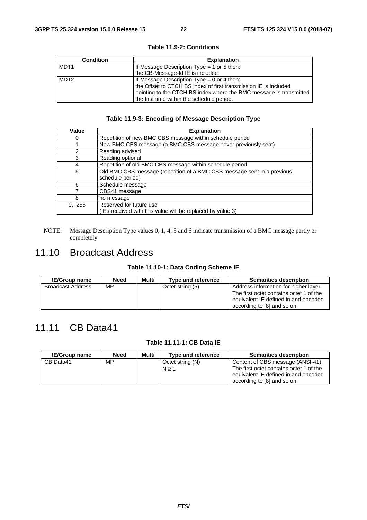| <b>Condition</b> | <b>Explanation</b>                                                 |
|------------------|--------------------------------------------------------------------|
| MDT <sub>1</sub> | If Message Description Type $=$ 1 or 5 then:                       |
|                  | the CB-Message-Id IE is included                                   |
| MDT <sub>2</sub> | If Message Description Type = $0$ or 4 then:                       |
|                  | the Offset to CTCH BS index of first transmission IE is included   |
|                  | pointing to the CTCH BS index where the BMC message is transmitted |
|                  | the first time within the schedule period.                         |

#### **Table 11.9-2: Conditions**

## **Table 11.9-3: Encoding of Message Description Type**

| Value  | <b>Explanation</b>                                                      |
|--------|-------------------------------------------------------------------------|
| 0      | Repetition of new BMC CBS message within schedule period                |
|        | New BMC CBS message (a BMC CBS message never previously sent)           |
| 2      | Reading advised                                                         |
| 3      | Reading optional                                                        |
| 4      | Repetition of old BMC CBS message within schedule period                |
| 5      | Old BMC CBS message (repetition of a BMC CBS message sent in a previous |
|        | schedule period)                                                        |
| 6      | Schedule message                                                        |
|        | CBS41 message                                                           |
| 8      | no message                                                              |
| 9.0255 | Reserved for future use                                                 |
|        | (IEs received with this value will be replaced by value 3)              |

NOTE: Message Description Type values 0, 1, 4, 5 and 6 indicate transmission of a BMC message partly or completely.

# 11.10 Broadcast Address

## **Table 11.10-1: Data Coding Scheme IE**

| <b>IE/Group name</b> | <b>Need</b> | Multi | Type and reference | <b>Semantics description</b>                                                                                                                            |
|----------------------|-------------|-------|--------------------|---------------------------------------------------------------------------------------------------------------------------------------------------------|
| Broadcast Address    | MP          |       | Octet string (5)   | Address information for higher layer.<br>The first octet contains octet 1 of the<br>equivalent IE defined in and encoded<br>according to [8] and so on. |

# 11.11 CB Data41

## **Table 11.11-1: CB Data IE**

| <b>IE/Group name</b> | <b>Need</b> | Multi | Type and reference | <b>Semantics description</b>            |
|----------------------|-------------|-------|--------------------|-----------------------------------------|
| CB Data41            | MP.         |       | Octet string (N)   | Content of CBS message (ANSI-41).       |
|                      |             |       | $N \geq 1$         | The first octet contains octet 1 of the |
|                      |             |       |                    | equivalent IE defined in and encoded    |
|                      |             |       |                    | according to [8] and so on.             |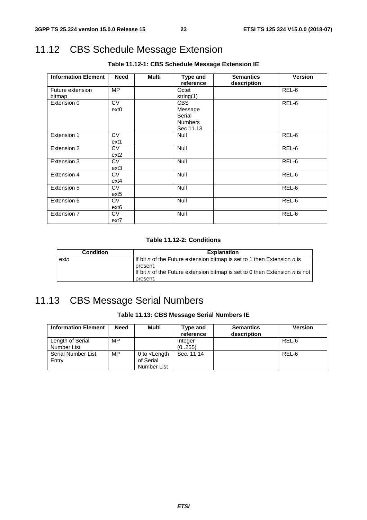# 11.12 CBS Schedule Message Extension

| <b>Information Element</b> | <b>Need</b>      | <b>Multi</b> | Type and       | <b>Semantics</b> | <b>Version</b> |
|----------------------------|------------------|--------------|----------------|------------------|----------------|
|                            |                  |              | reference      | description      |                |
| Future extension           | <b>MP</b>        |              | Octet          |                  | REL-6          |
| bitmap                     |                  |              | string(1)      |                  |                |
| Extension 0                | <b>CV</b>        |              | <b>CBS</b>     |                  | REL-6          |
|                            | ext0             |              | Message        |                  |                |
|                            |                  |              | Serial         |                  |                |
|                            |                  |              | <b>Numbers</b> |                  |                |
|                            |                  |              | Sec 11.13      |                  |                |
| Extension 1                | <b>CV</b>        |              | <b>Null</b>    |                  | REL-6          |
|                            | ext1             |              |                |                  |                |
| Extension 2                | <b>CV</b>        |              | <b>Null</b>    |                  | REL-6          |
|                            | $ext{2}$         |              |                |                  |                |
| Extension 3                | <b>CV</b>        |              | Null           |                  | REL-6          |
|                            | ext <sub>3</sub> |              |                |                  |                |
| Extension 4                | <b>CV</b>        |              | <b>Null</b>    |                  | REL-6          |
|                            | ext4             |              |                |                  |                |
| Extension 5                | <b>CV</b>        |              | Null           |                  | REL-6          |
|                            | ext5             |              |                |                  |                |
| Extension 6                | <b>CV</b>        |              | <b>Null</b>    |                  | REL-6          |
|                            | ext <sub>6</sub> |              |                |                  |                |
| Extension 7                | <b>CV</b>        |              | Null           |                  | REL-6          |
|                            | ext7             |              |                |                  |                |

## **Table 11.12-1: CBS Schedule Message Extension IE**

## **Table 11.12-2: Conditions**

| <b>Condition</b> | <b>Explanation</b>                                                                                                                                                             |
|------------------|--------------------------------------------------------------------------------------------------------------------------------------------------------------------------------|
| $ext{n}$         | If bit n of the Future extension bitmap is set to 1 then Extension n is<br>present.<br>If bit n of the Future extension bitmap is set to 0 then Extension n is not<br>present. |

# 11.13 CBS Message Serial Numbers

## **Table 11.13: CBS Message Serial Numbers IE**

| <b>Information Element</b>      | <b>Need</b> | Multi                                              | Type and<br>reference | <b>Semantics</b><br>description | <b>Version</b> |
|---------------------------------|-------------|----------------------------------------------------|-----------------------|---------------------------------|----------------|
| Length of Serial<br>Number List | MP          |                                                    | Integer<br>(0.255)    |                                 | REL-6          |
| Serial Number List<br>Entry     | MP          | 0 to $\epsilon$ Length<br>of Serial<br>Number List | Sec. 11.14            |                                 | REL-6          |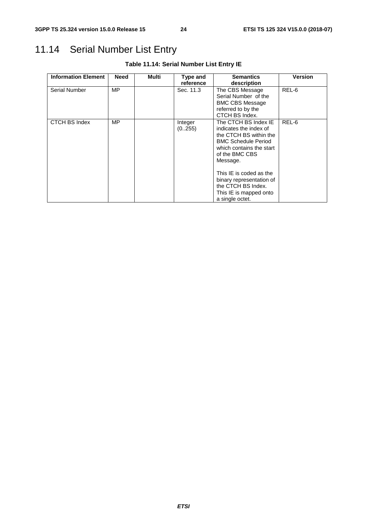# 11.14 Serial Number List Entry

| <b>Information Element</b> | <b>Need</b> | Multi | Type and          | <b>Semantics</b>                                                                                                                                                                                                                                                                           | <b>Version</b> |
|----------------------------|-------------|-------|-------------------|--------------------------------------------------------------------------------------------------------------------------------------------------------------------------------------------------------------------------------------------------------------------------------------------|----------------|
|                            |             |       | reference         | description                                                                                                                                                                                                                                                                                |                |
| Serial Number              | MP          |       | Sec. 11.3         | The CBS Message<br>Serial Number of the<br><b>BMC CBS Message</b><br>referred to by the<br>CTCH BS Index.                                                                                                                                                                                  | REL-6          |
| CTCH BS Index              | MP.         |       | Integer<br>(0255) | The CTCH BS Index IE<br>indicates the index of<br>the CTCH BS within the<br><b>BMC Schedule Period</b><br>which contains the start<br>of the BMC CBS<br>Message.<br>This IE is coded as the<br>binary representation of<br>the CTCH BS Index.<br>This IE is mapped onto<br>a single octet. | REL-6          |

## **Table 11.14: Serial Number List Entry IE**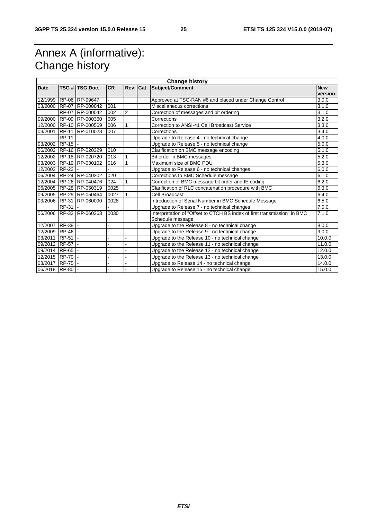# Annex A (informative): Change history

| <b>Change history</b> |              |                         |           |                |     |                                                                                              |                       |
|-----------------------|--------------|-------------------------|-----------|----------------|-----|----------------------------------------------------------------------------------------------|-----------------------|
| <b>Date</b>           |              | TSG # TSG Doc.          | <b>CR</b> | <b>Rev</b>     | Cat | Subject/Comment                                                                              | <b>New</b><br>version |
|                       |              | 12/1999 RP-06 RP-99647  |           |                |     | Approved at TSG-RAN #6 and placed under Change Control                                       | 3.0.0                 |
|                       |              | 03/2000 RP-07 RP-000042 | 001       |                |     | Miscellaneous corrections                                                                    | 3.1.0                 |
|                       | <b>RP-07</b> | RP-000042               | 002       | $\overline{2}$ |     | Correction of messages and bit ordering                                                      | 3.1.0                 |
| 09/2000               |              | RP-09 RP-000360         | 005       |                |     | Corrections                                                                                  | 3.2.0                 |
|                       |              | 12/2000 RP-10 RP-000569 | 006       |                |     | Correction to ANSI-41 Cell Broadcast Service                                                 | 3.3.0                 |
| 03/2001               |              | RP-11 RP-010028         | 007       |                |     | Corrections                                                                                  | 3.4.0                 |
|                       | <b>RP-11</b> |                         |           |                |     | Upgrade to Release 4 - no technical change                                                   | 4.0.0                 |
| 03/2002 RP-15         |              |                         |           |                |     | Upgrade to Release 5 - no technical change                                                   | 5.0.0                 |
|                       |              | 06/2002 RP-16 RP-020329 | 010       |                |     | Clarification on BMC message encoding                                                        | 5.1.0                 |
|                       |              | 12/2002 RP-18 RP-020720 | 013       |                |     | Bit order in BMC messages                                                                    | 5.2.0                 |
|                       |              | 03/2003 RP-19 RP-030102 | 016       | 1              |     | Maximum size of BMC PDU                                                                      | 5.3.0                 |
| 12/2003 RP-22         |              |                         |           |                |     | Upgrade to Release 6 - no technical changes                                                  | 6.0.0                 |
|                       |              | 06/2004 RP-24 RP-040202 | 020       |                |     | Corrections to BMC Schedule message                                                          | 6.1.0                 |
|                       |              | 12/2004 RP-26 RP-040476 | 024       | 1              |     | Correction of BMC message bit order and IE coding                                            | 6.2.0                 |
|                       |              | 06/2005 RP-28 RP-050319 | 0025      |                |     | Clarification of RLC concatenation procedure with BMC                                        | 6.3.0                 |
|                       |              | 09/2005 RP-29 RP-050464 | 0027      |                |     | Cell Broadcast                                                                               | 6.4.0                 |
|                       |              | 03/2006 RP-31 RP-060090 | 0028      |                |     | Introduction of Serial Number in BMC Schedule Message                                        | 6.5.0                 |
|                       | RP-31        |                         |           |                |     | Upgrade to Release 7 - no technical changes                                                  | 7.0.0                 |
| 06/2006               |              | RP-32 RP-060363         | 0030      |                |     | Interpretation of "Offset to CTCH BS index of first transmission" in BMC<br>Schedule message | 7.1.0                 |
| 12/2007               | $RP-38$      |                         |           |                |     | Upgrade to the Release 8 - no technical change                                               | 8.0.0                 |
| 12/2009 RP-46 -       |              |                         |           |                |     | Upgrade to the Release 9 - no technical change                                               | 9.0.0                 |
| 03/2011               | RP-51        |                         |           |                |     | Upgrade to the Release 10 - no technical change                                              | 10.0.0                |
| 09/2012 RP-57 -       |              |                         |           |                |     | Upgrade to the Release 11 - no technical change                                              | 11.0.0                |
| 09/2014 RP-65         |              |                         |           |                |     | Upgrade to the Release 12 - no technical change                                              | 12.0.0                |
| 12/2015 RP-70         |              |                         |           |                |     | Upgrade to the Release 13 - no technical change                                              | 13.0.0                |
| 03/2017 RP-75 -       |              |                         |           |                |     | Upgrade to Release 14 - no technical change                                                  | 14.0.0                |
| 06/2018 RP-80         |              |                         |           |                |     | Upgrade to Release 15 - no technical change                                                  | 15.0.0                |